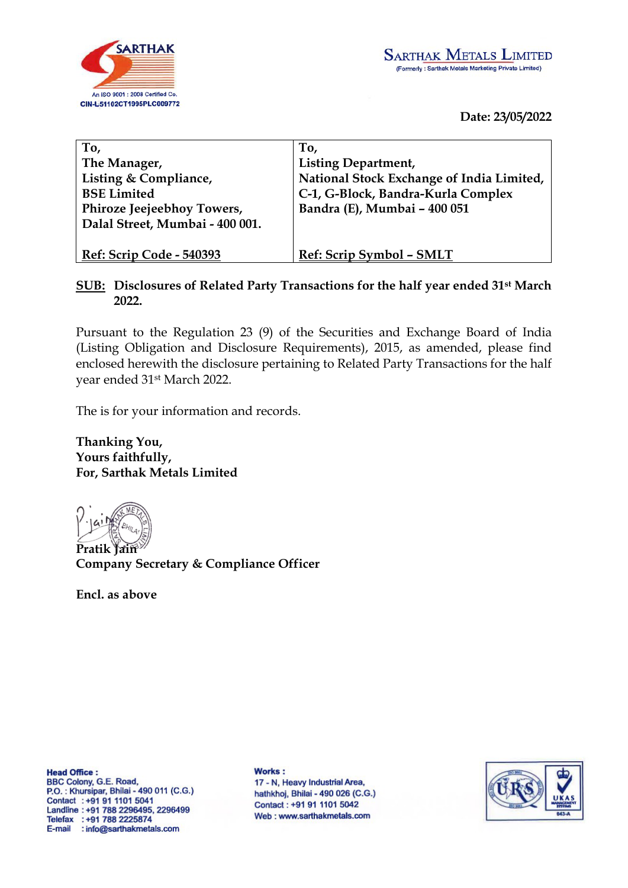

**Date: 23/05/2022** 

| To,                             | To,                                       |
|---------------------------------|-------------------------------------------|
| The Manager,                    | <b>Listing Department,</b>                |
| Listing & Compliance,           | National Stock Exchange of India Limited, |
| <b>BSE Limited</b>              | C-1, G-Block, Bandra-Kurla Complex        |
| Phiroze Jeejeebhoy Towers,      | Bandra (E), Mumbai - 400 051              |
| Dalal Street, Mumbai - 400 001. |                                           |
|                                 |                                           |
| Ref: Scrip Code - 540393        | Ref: Scrip Symbol - SMLT                  |

## **SUB: Disclosures of Related Party Transactions for the half year ended 31st March 2022.**

Pursuant to the Regulation 23 (9) of the Securities and Exchange Board of India (Listing Obligation and Disclosure Requirements), 2015, as amended, please find enclosed herewith the disclosure pertaining to Related Party Transactions for the half year ended 31st March 2022.

The is for your information and records.

**Thanking You, Yours faithfully, For, Sarthak Metals Limited** 



**Company Secretary & Compliance Officer** 

**Encl. as above** 

**Head Office: BBC Colony, G.E. Road,** P.O.: Khursipar, Bhilai - 490 011 (C.G.) Contact : +91 91 1101 5041 Landline: +91 788 2296495, 2296499 Telefax : +91 788 2225874 E-mail : info@sarthakmetals.com

**Works:** 

17 - N, Heavy Industrial Area, hathkhoi, Bhilai - 490 026 (C.G.) Contact: +91 91 1101 5042 Web: www.sarthakmetals.com

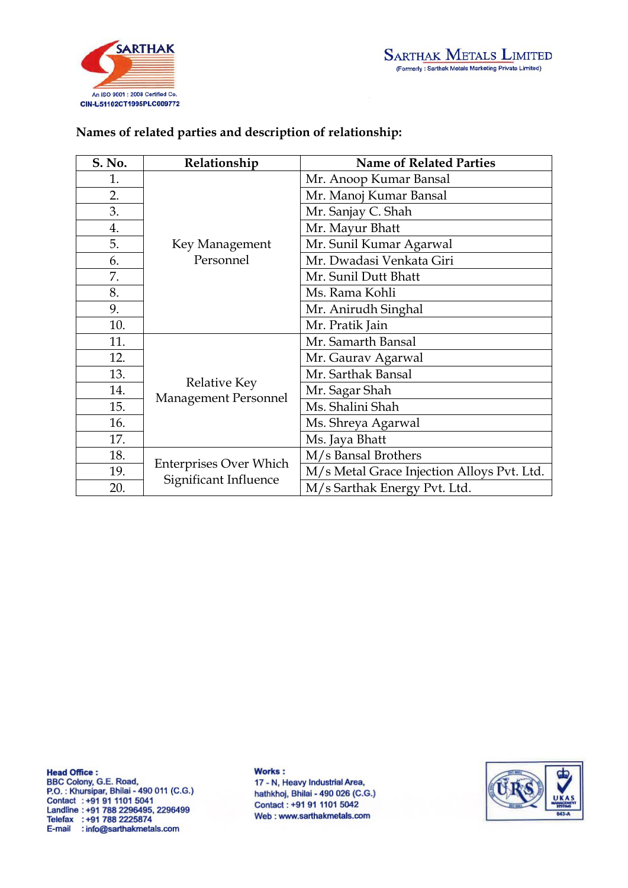

| S. No. | Relationship                  | <b>Name of Related Parties</b>             |  |  |  |  |  |  |  |
|--------|-------------------------------|--------------------------------------------|--|--|--|--|--|--|--|
| 1.     |                               | Mr. Anoop Kumar Bansal                     |  |  |  |  |  |  |  |
| 2.     |                               | Mr. Manoj Kumar Bansal                     |  |  |  |  |  |  |  |
| 3.     |                               | Mr. Sanjay C. Shah                         |  |  |  |  |  |  |  |
| 4.     |                               | Mr. Mayur Bhatt                            |  |  |  |  |  |  |  |
| 5.     | Key Management                | Mr. Sunil Kumar Agarwal                    |  |  |  |  |  |  |  |
| 6.     | Personnel                     | Mr. Dwadasi Venkata Giri                   |  |  |  |  |  |  |  |
| 7.     |                               | Mr. Sunil Dutt Bhatt                       |  |  |  |  |  |  |  |
| 8.     |                               | Ms. Rama Kohli                             |  |  |  |  |  |  |  |
| 9.     |                               | Mr. Anirudh Singhal                        |  |  |  |  |  |  |  |
| 10.    |                               | Mr. Pratik Jain                            |  |  |  |  |  |  |  |
| 11.    |                               | Mr. Samarth Bansal                         |  |  |  |  |  |  |  |
| 12.    |                               | Mr. Gaurav Agarwal                         |  |  |  |  |  |  |  |
| 13.    |                               | Mr. Sarthak Bansal                         |  |  |  |  |  |  |  |
| 14.    | <b>Relative Key</b>           | Mr. Sagar Shah                             |  |  |  |  |  |  |  |
| 15.    | Management Personnel          | Ms. Shalini Shah                           |  |  |  |  |  |  |  |
| 16.    |                               | Ms. Shreya Agarwal                         |  |  |  |  |  |  |  |
| 17.    |                               | Ms. Jaya Bhatt                             |  |  |  |  |  |  |  |
| 18.    |                               | M/s Bansal Brothers                        |  |  |  |  |  |  |  |
| 19.    | <b>Enterprises Over Which</b> | M/s Metal Grace Injection Alloys Pvt. Ltd. |  |  |  |  |  |  |  |
| 20.    | Significant Influence         | M/s Sarthak Energy Pvt. Ltd.               |  |  |  |  |  |  |  |

## Names of related parties and description of relationship:

**Head Office:** 

Read Office :<br>BBC Colony, G.E. Road,<br>P.O. : Khursipar, Bhilai - 490 011 (C.G.)<br>Contact : +91 91 1101 5041 Landline: +91 788 2296495, 2296499 Telefax : +91 788 2225874<br>E-mail : info@sarthakmetals.com

**Works:** 

17 - N, Heavy Industrial Area, hathkhoj, Bhilai - 490 026 (C.G.) Contact: +91 91 1101 5042 Web: www.sarthakmetals.com

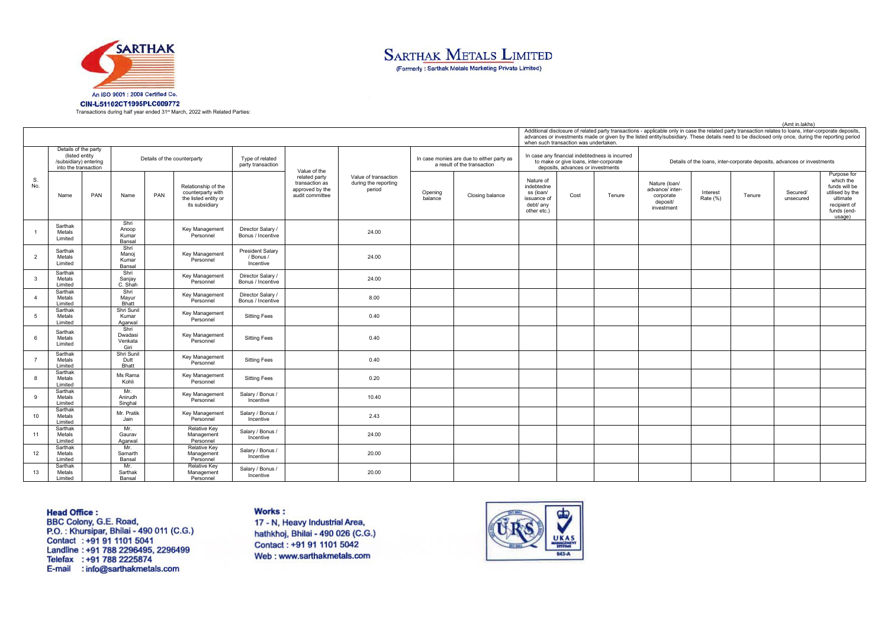

**SARTHAK METALS LIMITED** 

(Formerly: Sarthak Metals Marketing Private Limited)

Transactions during half year ended 31<sup>st</sup> March, 2022 with Related Parties:

|                 |                              |                                                                                         |                                    |                             |                                                                                    |                                            |                                                                       |                                                        |                                                                          |                 |                                                                                                                               |                                       |        |                                                                                                                                                                                                                                                                                                             |                      |        | (Amt in lakhs)        |                                                                                                                   |  |
|-----------------|------------------------------|-----------------------------------------------------------------------------------------|------------------------------------|-----------------------------|------------------------------------------------------------------------------------|--------------------------------------------|-----------------------------------------------------------------------|--------------------------------------------------------|--------------------------------------------------------------------------|-----------------|-------------------------------------------------------------------------------------------------------------------------------|---------------------------------------|--------|-------------------------------------------------------------------------------------------------------------------------------------------------------------------------------------------------------------------------------------------------------------------------------------------------------------|----------------------|--------|-----------------------|-------------------------------------------------------------------------------------------------------------------|--|
|                 |                              |                                                                                         |                                    |                             |                                                                                    |                                            |                                                                       |                                                        |                                                                          |                 |                                                                                                                               | when such transaction was undertaken. |        | Additional disclosure of related party transactions - applicable only in case the related party transaction relates to loans, inter-corporate deposits,<br>advances or investments made or given by the listed entity/subsidiary. These details need to be disclosed only once, during the reporting period |                      |        |                       |                                                                                                                   |  |
|                 |                              | Details of the party<br>(listed entity<br>/subsidiary) entering<br>into the transaction |                                    | Details of the counterparty |                                                                                    | Type of related<br>party transaction       | Value of the                                                          |                                                        | In case monies are due to either party as<br>a result of the transaction |                 | In case any financial indebtedness is incurred<br>to make or give loans, inter-corporate<br>deposits, advances or investments |                                       |        | Details of the loans, inter-corporate deposits, advances or investments                                                                                                                                                                                                                                     |                      |        |                       |                                                                                                                   |  |
| S.<br>No.       | Name                         | PAN                                                                                     | Name                               | PAN                         | Relationship of the<br>counterparty with<br>the listed entity or<br>its subsidiary |                                            | related party<br>transaction as<br>approved by the<br>audit committee | Value of transaction<br>during the reporting<br>period | Opening<br>balance                                                       | Closing balance | Nature of<br>indebtedne<br>ss (loan/<br>issuance of<br>debt/ any<br>other etc.)                                               | Cost                                  | Tenure | Nature (loan/<br>advance/ inter-<br>corporate<br>deposit/<br>investment                                                                                                                                                                                                                                     | Interest<br>Rate (%) | Tenure | Secured/<br>unsecured | Purpose for<br>which the<br>funds will be<br>utilised by the<br>ultimate<br>recipient of<br>funds (end-<br>usage) |  |
|                 | Sarthak<br>Metals<br>Limited |                                                                                         | Shri<br>Anoop<br>Kumar<br>Bansal   |                             | Key Management<br>Personnel                                                        | Director Salary /<br>Bonus / Incentive     |                                                                       | 24.00                                                  |                                                                          |                 |                                                                                                                               |                                       |        |                                                                                                                                                                                                                                                                                                             |                      |        |                       |                                                                                                                   |  |
| $\overline{2}$  | Sarthak<br>Metals<br>Limited |                                                                                         | Shri<br>Manoi<br>Kumar<br>Bansal   |                             | Key Management<br>Personnel                                                        | President Salary<br>/ Bonus /<br>Incentive |                                                                       | 24.00                                                  |                                                                          |                 |                                                                                                                               |                                       |        |                                                                                                                                                                                                                                                                                                             |                      |        |                       |                                                                                                                   |  |
| $\mathbf{3}$    | Sarthak<br>Metals<br>Limited |                                                                                         | Shri<br>Sanjay<br>C. Shah          |                             | Key Management<br>Personnel                                                        | Director Salary /<br>Bonus / Incentive     |                                                                       | 24.00                                                  |                                                                          |                 |                                                                                                                               |                                       |        |                                                                                                                                                                                                                                                                                                             |                      |        |                       |                                                                                                                   |  |
| $\overline{a}$  | Sarthak<br>Metals<br>Limited |                                                                                         | Shri<br>Mayur<br>Bhatt             |                             | Key Management<br>Personnel                                                        | Director Salary /<br>Bonus / Incentive     |                                                                       | 8.00                                                   |                                                                          |                 |                                                                                                                               |                                       |        |                                                                                                                                                                                                                                                                                                             |                      |        |                       |                                                                                                                   |  |
| 5               | Sarthak<br>Metals<br>Limited |                                                                                         | Shri Sunil<br>Kumar<br>Agarwal     |                             | Key Management<br>Personnel                                                        | <b>Sitting Fees</b>                        |                                                                       | 0.40                                                   |                                                                          |                 |                                                                                                                               |                                       |        |                                                                                                                                                                                                                                                                                                             |                      |        |                       |                                                                                                                   |  |
| 6               | Sarthak<br>Metals<br>Limited |                                                                                         | Shri<br>Dwadasi<br>Venkata<br>Giri |                             | Key Management<br>Personnel                                                        | <b>Sitting Fees</b>                        |                                                                       | 0.40                                                   |                                                                          |                 |                                                                                                                               |                                       |        |                                                                                                                                                                                                                                                                                                             |                      |        |                       |                                                                                                                   |  |
| $\overline{7}$  | Sarthak<br>Metals<br>Limited |                                                                                         | Shri Sunil<br>Dutt<br>Bhatt        |                             | Key Management<br>Personnel                                                        | <b>Sitting Fees</b>                        |                                                                       | 0.40                                                   |                                                                          |                 |                                                                                                                               |                                       |        |                                                                                                                                                                                                                                                                                                             |                      |        |                       |                                                                                                                   |  |
| 8               | Sarthak<br>Metals<br>Limited |                                                                                         | Ms Rama<br>Kohli                   |                             | Key Management<br>Personnel                                                        | Sitting Fees                               |                                                                       | 0.20                                                   |                                                                          |                 |                                                                                                                               |                                       |        |                                                                                                                                                                                                                                                                                                             |                      |        |                       |                                                                                                                   |  |
| 9               | Sarthak<br>Metals<br>Limited |                                                                                         | Mr.<br>Anirudh<br>Singhal          |                             | Key Management<br>Personnel                                                        | Salary / Bonus /<br>Incentive              |                                                                       | 10.40                                                  |                                                                          |                 |                                                                                                                               |                                       |        |                                                                                                                                                                                                                                                                                                             |                      |        |                       |                                                                                                                   |  |
| 10 <sup>1</sup> | Sarthak<br>Metals<br>Limited |                                                                                         | Mr. Pratik<br>Jain                 |                             | Key Management<br>Personnel                                                        | Salary / Bonus /<br>Incentive              |                                                                       | 2.43                                                   |                                                                          |                 |                                                                                                                               |                                       |        |                                                                                                                                                                                                                                                                                                             |                      |        |                       |                                                                                                                   |  |
| 11              | Sarthak<br>Metals<br>Limited |                                                                                         | Mr.<br>Gaurav<br>Agarwal           |                             | <b>Relative Kev</b><br>Management<br>Personnel                                     | Salary / Bonus /<br>Incentive              |                                                                       | 24.00                                                  |                                                                          |                 |                                                                                                                               |                                       |        |                                                                                                                                                                                                                                                                                                             |                      |        |                       |                                                                                                                   |  |
| 12              | Sarthak<br>Metals<br>Limited |                                                                                         | Mr.<br>Samarth<br>Bansal           |                             | Relative Key<br>Management<br>Personnel                                            | Salary / Bonus /<br>Incentive              |                                                                       | 20.00                                                  |                                                                          |                 |                                                                                                                               |                                       |        |                                                                                                                                                                                                                                                                                                             |                      |        |                       |                                                                                                                   |  |
| 13              | Sarthak<br>Metals<br>Limited |                                                                                         | Mr.<br>Sarthak<br>Bansal           |                             | Relative Key<br>Management<br>Personnel                                            | Salary / Bonus /<br>Incentive              |                                                                       | 20.00                                                  |                                                                          |                 |                                                                                                                               |                                       |        |                                                                                                                                                                                                                                                                                                             |                      |        |                       |                                                                                                                   |  |

### **Head Office:**

BBC Colony, G.E. Road,<br>P.O. : Khursipar, Bhilai - 490 011 (C.G.)<br>Contact : +91 91 1101 5041 Landline: +91 788 2296495, 2296499 Telefax : +91 788 2225874 E-mail : info@sarthakmetals.com

#### **Works:**

17 - N, Heavy Industrial Area, hathkhoj, Bhilai - 490 026 (C.G.) Contact: +91 91 1101 5042 Web: www.sarthakmetals.com